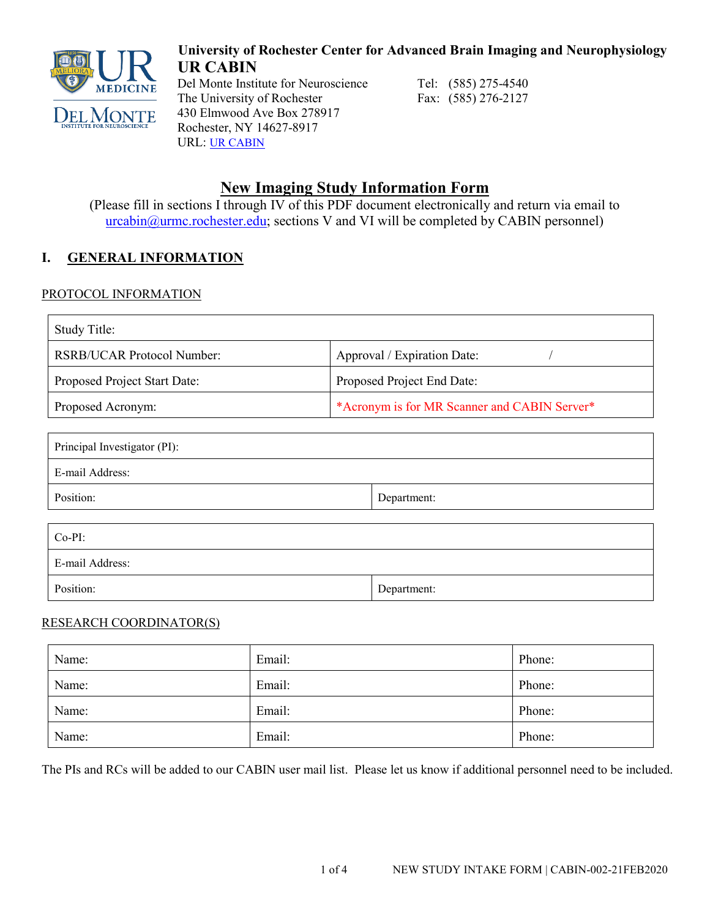

**University of Rochester Center for Advanced Brain Imaging and Neurophysiology UR CABIN**

Del Monte Institute for Neuroscience<br>Tel: (585) 275-4540<br>The University of Rochester<br>Fax: (585) 276-2127 The University of Rochester 430 Elmwood Ave Box 278917 Rochester, NY 14627-8917 URL: [UR](https://www.urmc.rochester.edu/del-monte-neuroscience/brain-imaging.aspx) CABIN

# **New Imaging Study Information Form**

(Please fill in sections I through IV of this PDF document electronically and return via email to  $urcabin@urmc.rochester.edu$ ; sections V and VI will be completed by CABIN personnel)

# **I. GENERAL INFORMATION**

## PROTOCOL INFORMATION

| <b>Study Title:</b>                             |                                              |  |
|-------------------------------------------------|----------------------------------------------|--|
| RSRB/UCAR Protocol Number:                      | Approval / Expiration Date:                  |  |
| Proposed Project Start Date:                    | Proposed Project End Date:                   |  |
| Proposed Acronym:                               | *Acronym is for MR Scanner and CABIN Server* |  |
| Principal Investigator (PI):<br>E-mail Address: |                                              |  |
| Position:                                       | Department:                                  |  |
| $Co-PI:$<br>E-mail Address:                     |                                              |  |
| Position:                                       | Department:                                  |  |

#### RESEARCH COORDINATOR(S)

| Name: | Email: | Phone: |
|-------|--------|--------|
| Name: | Email: | Phone: |
| Name: | Email: | Phone: |
| Name: | Email: | Phone: |

The PIs and RCs will be added to our CABIN user mail list. Please let us know if additional personnel need to be included.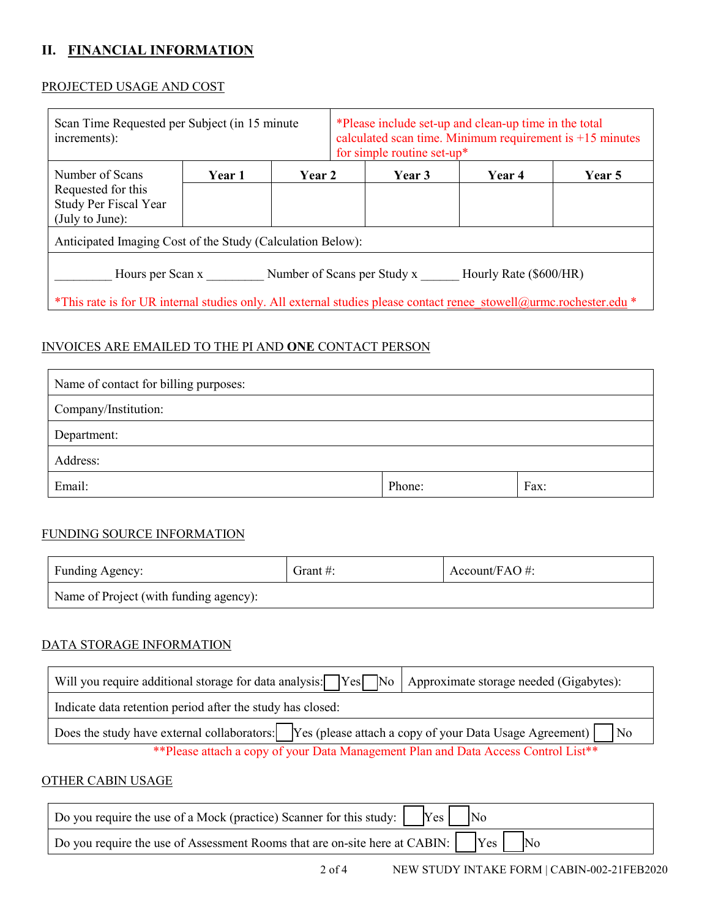## **II. FINANCIAL INFORMATION**

#### PROJECTED USAGE AND COST

| Scan Time Requested per Subject (in 15 minute)<br>increments):                                                     |        |        |  | for simple routine set-up* | *Please include set-up and clean-up time in the total<br>calculated scan time. Minimum requirement is $+15$ minutes |               |
|--------------------------------------------------------------------------------------------------------------------|--------|--------|--|----------------------------|---------------------------------------------------------------------------------------------------------------------|---------------|
| Number of Scans                                                                                                    | Year 1 | Year 2 |  | Year 3                     | <b>Year 4</b>                                                                                                       | <b>Year</b> 5 |
| Requested for this                                                                                                 |        |        |  |                            |                                                                                                                     |               |
| Study Per Fiscal Year                                                                                              |        |        |  |                            |                                                                                                                     |               |
| (July to June):                                                                                                    |        |        |  |                            |                                                                                                                     |               |
| Anticipated Imaging Cost of the Study (Calculation Below):                                                         |        |        |  |                            |                                                                                                                     |               |
| Hourly Rate (\$600/HR)<br>Number of Scans per Study x<br>Hours per Scan x                                          |        |        |  |                            |                                                                                                                     |               |
| *This rate is for UR internal studies only. All external studies please contact renee stowell@urmc.rochester.edu * |        |        |  |                            |                                                                                                                     |               |

## INVOICES ARE EMAILED TO THE PI AND **ONE** CONTACT PERSON

| Name of contact for billing purposes: |        |      |
|---------------------------------------|--------|------|
| Company/Institution:                  |        |      |
| Department:                           |        |      |
| Address:                              |        |      |
| Email:                                | Phone: | Fax: |

#### FUNDING SOURCE INFORMATION

| Funding Agency:                        | Grant $\#$ : | Account/FAO #: |
|----------------------------------------|--------------|----------------|
| Name of Project (with funding agency): |              |                |

### DATA STORAGE INFORMATION

| Will you require additional storage for data analysis: Ves No Approximate storage needed (Gigabytes):                                                                                                                                                                                                                                                        |  |  |
|--------------------------------------------------------------------------------------------------------------------------------------------------------------------------------------------------------------------------------------------------------------------------------------------------------------------------------------------------------------|--|--|
| Indicate data retention period after the study has closed:                                                                                                                                                                                                                                                                                                   |  |  |
| Does the study have external collaborators: $\boxed{\phantom{\text{y}}\phantom{\text{y}}\phantom{\text{y}}\}$ $\phantom{\text{y}}\phantom{\text{y}}\text{y}}$ $\phantom{\text{y}}\text{y}$ $\phantom{\text{y}}\text{y}$ $\phantom{\text{y}}\text{y}$ $\text{y}$ $\text{y}$ $\text{y}$ $\text{y}$ $\text{y}$ $\text{y}$ $\text{y}$ $\text{y}$ $\text{y}}$ $\$ |  |  |
| ** Please attach a copy of your Data Management Plan and Data Access Control List**                                                                                                                                                                                                                                                                          |  |  |

#### OTHER CABIN USAGE

| Do you require the use of a Mock (practice) Scanner for this study: $\begin{vmatrix} \gamma_{\text{es}} & \gamma_{\text{es}} \end{vmatrix}$                |
|------------------------------------------------------------------------------------------------------------------------------------------------------------|
| Do you require the use of Assessment Rooms that are on-site here at CABIN: $\begin{bmatrix} \gamma_{es} \end{bmatrix}$ $\begin{bmatrix} N_0 \end{bmatrix}$ |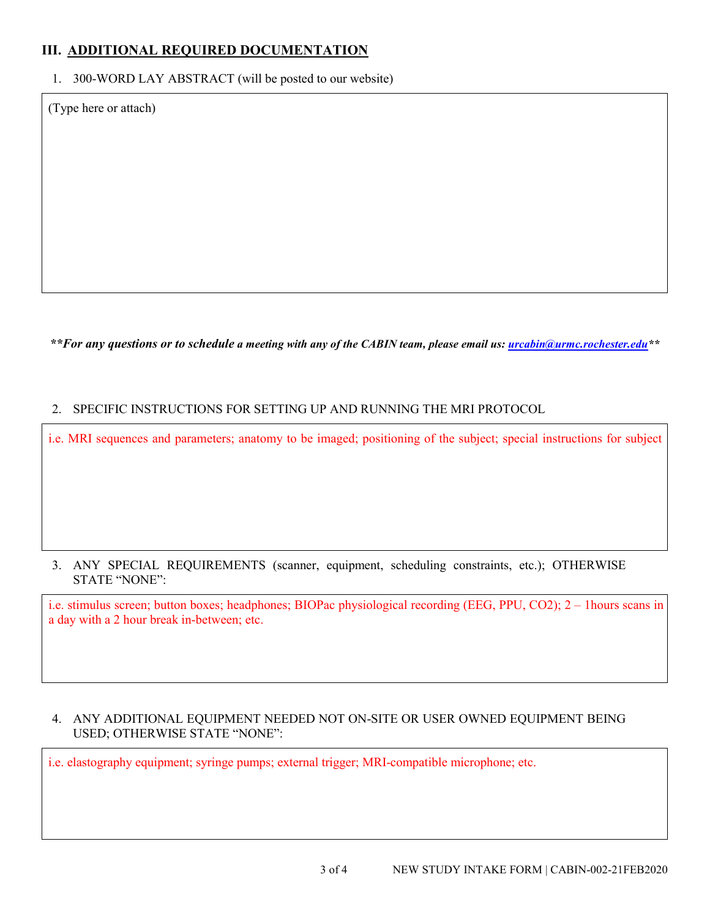## **III. ADDITIONAL REQUIRED DOCUMENTATION**

1. 300-WORD LAY ABSTRACT (will be posted to our website)

(Type here or attach)

*\*\*For any questions or to schedule a meeting with any of the CABIN team, please email us: [urcabin@urmc.rochester.edu\\*](mailto:urcabin@urmc.rochester.edu)\**

#### 2. SPECIFIC INSTRUCTIONS FOR SETTING UP AND RUNNING THE MRI PROTOCOL

i.e. MRI sequences and parameters; anatomy to be imaged; positioning of the subject; special instructions for subject

#### 3. ANY SPECIAL REQUIREMENTS (scanner, equipment, scheduling constraints, etc.); OTHERWISE STATE "NONE":

i.e. stimulus screen; button boxes; headphones; BIOPac physiological recording (EEG, PPU, CO2); 2 – 1hours scans in a day with a 2 hour break in-between; etc.

#### 4. ANY ADDITIONAL EQUIPMENT NEEDED NOT ON-SITE OR USER OWNED EQUIPMENT BEING USED; OTHERWISE STATE "NONE":

i.e. elastography equipment; syringe pumps; external trigger; MRI-compatible microphone; etc.